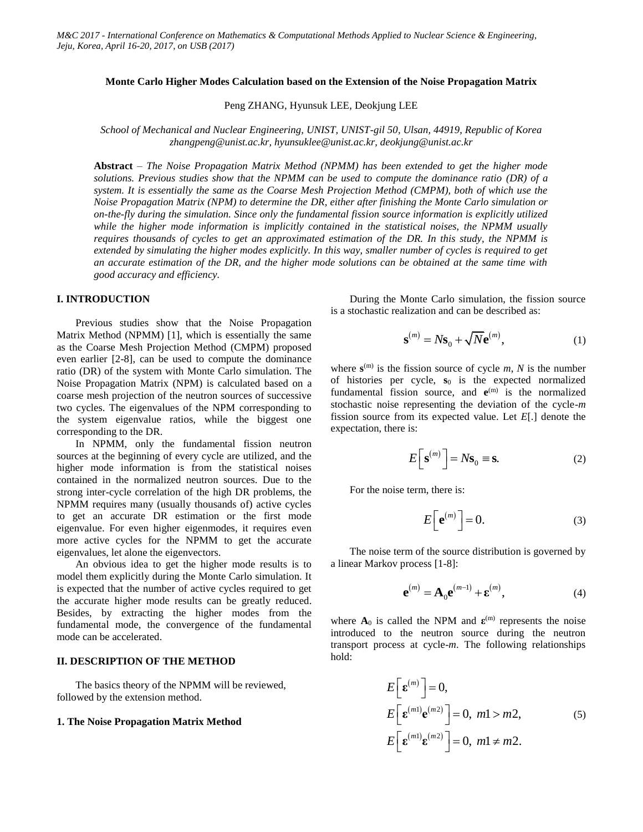## **Monte Carlo Higher Modes Calculation based on the Extension of the Noise Propagation Matrix**

Peng ZHANG, Hyunsuk LEE, Deokjung LEE

*School of Mechanical and Nuclear Engineering, UNIST, UNIST-gil 50, Ulsan, 44919, Republic of Korea zhangpeng@unist.ac.kr, hyunsuklee@unist.ac.kr, deokjung@unist.ac.kr*

**Abstract** *– The Noise Propagation Matrix Method (NPMM) has been extended to get the higher mode solutions. Previous studies show that the NPMM can be used to compute the dominance ratio (DR) of a system. It is essentially the same as the Coarse Mesh Projection Method (CMPM), both of which use the Noise Propagation Matrix (NPM) to determine the DR, either after finishing the Monte Carlo simulation or on-the-fly during the simulation. Since only the fundamental fission source information is explicitly utilized while the higher mode information is implicitly contained in the statistical noises, the NPMM usually requires thousands of cycles to get an approximated estimation of the DR. In this study, the NPMM is extended by simulating the higher modes explicitly. In this way, smaller number of cycles is required to get an accurate estimation of the DR, and the higher mode solutions can be obtained at the same time with good accuracy and efficiency.*

#### **I. INTRODUCTION**

Previous studies show that the Noise Propagation Matrix Method (NPMM) [1], which is essentially the same as the Coarse Mesh Projection Method (CMPM) proposed even earlier [2-8], can be used to compute the dominance ratio (DR) of the system with Monte Carlo simulation. The Noise Propagation Matrix (NPM) is calculated based on a coarse mesh projection of the neutron sources of successive two cycles. The eigenvalues of the NPM corresponding to the system eigenvalue ratios, while the biggest one corresponding to the DR.

In NPMM, only the fundamental fission neutron sources at the beginning of every cycle are utilized, and the higher mode information is from the statistical noises contained in the normalized neutron sources. Due to the strong inter-cycle correlation of the high DR problems, the NPMM requires many (usually thousands of) active cycles to get an accurate DR estimation or the first mode eigenvalue. For even higher eigenmodes, it requires even more active cycles for the NPMM to get the accurate eigenvalues, let alone the eigenvectors.

An obvious idea to get the higher mode results is to model them explicitly during the Monte Carlo simulation. It is expected that the number of active cycles required to get the accurate higher mode results can be greatly reduced. Besides, by extracting the higher modes from the fundamental mode, the convergence of the fundamental mode can be accelerated.

# **II. DESCRIPTION OF THE METHOD**

The basics theory of the NPMM will be reviewed, followed by the extension method.

# **1. The Noise Propagation Matrix Method**

During the Monte Carlo simulation, the fission source is a stochastic realization and can be described as:

$$
\mathbf{s}^{(m)} = N\mathbf{s}_0 + \sqrt{N}\mathbf{e}^{(m)},\tag{1}
$$

where  $\mathbf{s}^{(m)}$  is the fission source of cycle *m*, *N* is the number of histories per cycle,  $s_0$  is the expected normalized fundamental fission source, and  $e^{(m)}$  is the normalized stochastic noise representing the deviation of the cycle-*m* fission source from its expected value. Let *E*[.] denote the expectation, there is:

$$
E\left[\mathbf{s}^{(m)}\right] = N\mathbf{s}_0 \equiv \mathbf{s}.\tag{2}
$$

For the noise term, there is:

$$
E\left[\mathbf{e}^{(m)}\right] = 0.\tag{3}
$$

The noise term of the source distribution is governed by a linear Markov process [1-8]:

$$
\mathbf{e}^{(m)} = \mathbf{A}_0 \mathbf{e}^{(m-1)} + \mathbf{\varepsilon}^{(m)},
$$
 (4)

where  $A_0$  is called the NPM and  $\epsilon^{(m)}$  represents the noise introduced to the neutron source during the neutron transport process at cycle-*m*. The following relationships hold:

$$
E\left[\mathbf{\varepsilon}^{(m)}\right] = 0,
$$
  
\n
$$
E\left[\mathbf{\varepsilon}^{(m)}\mathbf{e}^{(m2)}\right] = 0, \ m1 > m2,
$$
  
\n
$$
E\left[\mathbf{\varepsilon}^{(m1)}\mathbf{\varepsilon}^{(m2)}\right] = 0, \ m1 \neq m2.
$$
 (5)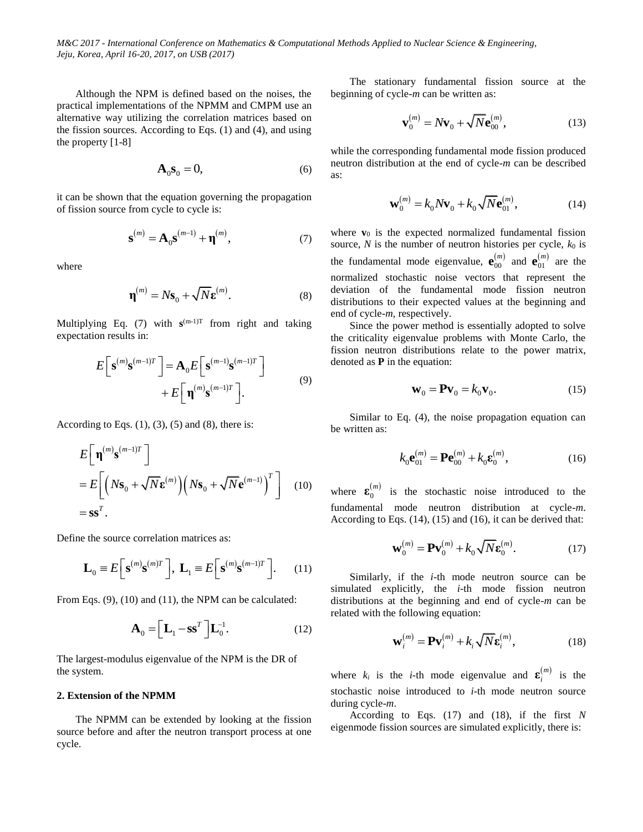Although the NPM is defined based on the noises, the practical implementations of the NPMM and CMPM use an alternative way utilizing the correlation matrices based on the fission sources. According to Eqs. (1) and (4), and using the property [1-8]

$$
\mathbf{A}_0 \mathbf{s}_0 = 0,\t(6)
$$

it can be shown that the equation governing the propagation of fission source from cycle to cycle is:

$$
\mathbf{s}^{(m)} = \mathbf{A}_0 \mathbf{s}^{(m-1)} + \mathbf{\eta}^{(m)},\tag{7}
$$

where

$$
\mathbf{\eta}^{(m)} = N\mathbf{s}_0 + \sqrt{N}\mathbf{\varepsilon}^{(m)}.\tag{8}
$$

Multiplying Eq. (7) with  $s^{(m-1)T}$  from right and taking expectation results in:

$$
E\left[\mathbf{s}^{(m)}\mathbf{s}^{(m-1)T}\right] = \mathbf{A}_0 E\left[\mathbf{s}^{(m-1)}\mathbf{s}^{(m-1)T}\right] + E\left[\mathbf{\eta}^{(m)}\mathbf{s}^{(m-1)T}\right].
$$
\n(9)

According to Eqs.  $(1)$ ,  $(3)$ ,  $(5)$  and  $(8)$ , there is:

$$
E\left[\mathbf{\eta}^{(m)}\mathbf{s}^{(m-1)T}\right]
$$
  
= 
$$
E\left[\left(N\mathbf{s}_0 + \sqrt{N}\mathbf{\varepsilon}^{(m)}\right)\left(N\mathbf{s}_0 + \sqrt{N}\mathbf{\varepsilon}^{(m-1)}\right)^T\right]
$$
 (10)  
= 
$$
\mathbf{s}\mathbf{s}^T.
$$

Define the source correlation matrices as:

$$
\mathbf{L}_0 \equiv E\bigg[\mathbf{s}^{(m)}\mathbf{s}^{(m)T}\bigg], \ \mathbf{L}_1 \equiv E\bigg[\mathbf{s}^{(m)}\mathbf{s}^{(m-1)T}\bigg]. \tag{11}
$$

From Eqs. (9), (10) and (11), the NPM can be calculated:

$$
\mathbf{A}_0 = \left[ \mathbf{L}_1 - \mathbf{s} \mathbf{s}^T \right] \mathbf{L}_0^{-1}.
$$
 (12)

The largest-modulus eigenvalue of the NPM is the DR of the system.

## **2. Extension of the NPMM**

The NPMM can be extended by looking at the fission source before and after the neutron transport process at one cycle.

The stationary fundamental fission source at the beginning of cycle-*m* can be written as:

$$
\mathbf{v}_0^{(m)} = N \mathbf{v}_0 + \sqrt{N} \mathbf{e}_{00}^{(m)},
$$
\n(13)

while the corresponding fundamental mode fission produced neutron distribution at the end of cycle-*m* can be described as:

$$
\mathbf{w}_0^{(m)} = k_0 N \mathbf{v}_0 + k_0 \sqrt{N} \mathbf{e}_{01}^{(m)},
$$
 (14)

where  $\mathbf{v}_0$  is the expected normalized fundamental fission source,  $N$  is the number of neutron histories per cycle,  $k_0$  is the fundamental mode eigenvalue,  $\mathbf{e}_{00}^{(m)}$ 00  **and**  $**e**^{(m)}_{01}$ 01  $\mathbf{e}_{01}^{(m)}$  are the normalized stochastic noise vectors that represent the deviation of the fundamental mode fission neutron distributions to their expected values at the beginning and end of cycle-*m*, respectively.

Since the power method is essentially adopted to solve the criticality eigenvalue problems with Monte Carlo, the fission neutron distributions relate to the power matrix, denoted as **P** in the equation:

$$
\mathbf{W}_0 = \mathbf{P}\mathbf{V}_0 = k_0 \mathbf{V}_0. \tag{15}
$$

Similar to Eq. (4), the noise propagation equation can be written as:

$$
k_0 \mathbf{e}_{01}^{(m)} = \mathbf{P} \mathbf{e}_{00}^{(m)} + k_0 \mathbf{e}_0^{(m)},
$$
 (16)

where  $\mathbf{\varepsilon}_{0}^{(m)}$ 0  $\epsilon_0^{(m)}$  is the stochastic noise introduced to the fundamental mode neutron distribution at cycle-*m*. According to Eqs. (14), (15) and (16), it can be derived that:

$$
\mathbf{w}_0^{(m)} = \mathbf{P}\mathbf{v}_0^{(m)} + k_0 \sqrt{N} \mathbf{\varepsilon}_0^{(m)}.
$$
 (17)

Similarly, if the *i*-th mode neutron source can be simulated explicitly, the *i*-th mode fission neutron distributions at the beginning and end of cycle-*m* can be related with the following equation:

$$
\mathbf{w}_i^{(m)} = \mathbf{P} \mathbf{v}_i^{(m)} + k_i \sqrt{N} \mathbf{\varepsilon}_i^{(m)},
$$
 (18)

where  $k_i$  is the *i*-th mode eigenvalue and  $\mathbf{\varepsilon}_i^{(m)}$  $\epsilon_i^{(m)}$  is the stochastic noise introduced to *i*-th mode neutron source during cycle-*m*.

According to Eqs. (17) and (18), if the first *N* eigenmode fission sources are simulated explicitly, there is: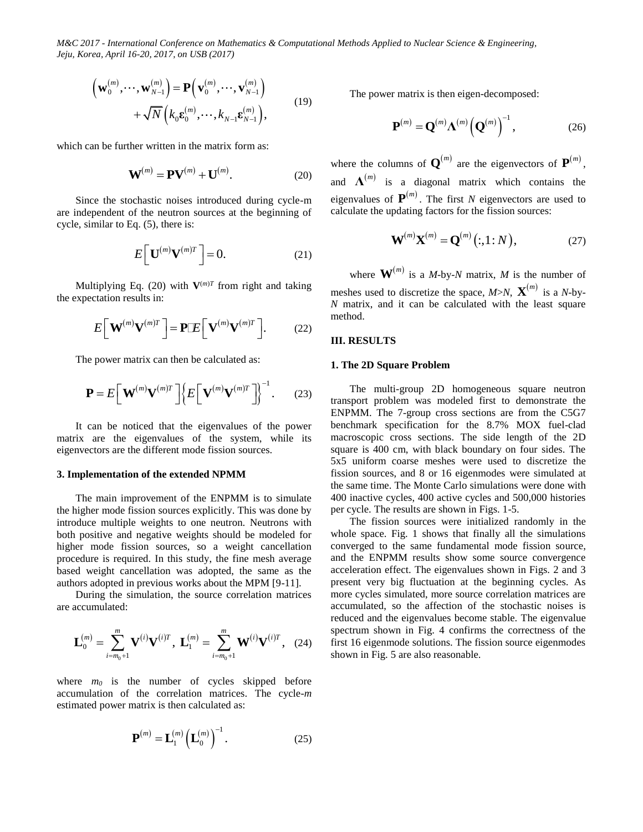$$
\left(\mathbf{w}_{0}^{(m)},\cdots,\mathbf{w}_{N-1}^{(m)}\right)=\mathbf{P}\left(\mathbf{v}_{0}^{(m)},\cdots,\mathbf{v}_{N-1}^{(m)}\right) \quad+\sqrt{N}\left(k_{0}\mathbf{\varepsilon}_{0}^{(m)},\cdots,k_{N-1}\mathbf{\varepsilon}_{N-1}^{(m)}\right),
$$
\n(19)

which can be further written in the matrix form as:

$$
\mathbf{W}^{(m)} = \mathbf{PV}^{(m)} + \mathbf{U}^{(m)}.\tag{20}
$$

Since the stochastic noises introduced during cycle-m are independent of the neutron sources at the beginning of cycle, similar to Eq. (5), there is:

$$
E\bigg[\mathbf{U}^{(m)}\mathbf{V}^{(m)T}\bigg]=0.\tag{21}
$$

Multiplying Eq. (20) with  $V^{(m)T}$  from right and taking the expectation results in:

$$
E\left[\mathbf{W}^{(m)}\mathbf{V}^{(m)T}\right] = \mathbf{P} \mathbb{E}\left[\mathbf{V}^{(m)}\mathbf{V}^{(m)T}\right].
$$
 (22)

The power matrix can then be calculated as:

$$
\mathbf{P} = E\bigg[\mathbf{W}^{(m)}\mathbf{V}^{(m)T}\bigg]\bigg\{E\bigg[\mathbf{V}^{(m)}\mathbf{V}^{(m)T}\bigg]\bigg\}^{-1}.
$$
 (23)

It can be noticed that the eigenvalues of the power matrix are the eigenvalues of the system, while its eigenvectors are the different mode fission sources.

## **3. Implementation of the extended NPMM**

The main improvement of the ENPMM is to simulate the higher mode fission sources explicitly. This was done by introduce multiple weights to one neutron. Neutrons with both positive and negative weights should be modeled for higher mode fission sources, so a weight cancellation procedure is required. In this study, the fine mesh average based weight cancellation was adopted, the same as the authors adopted in previous works about the MPM [9-11].

During the simulation, the source correlation matrices are accumulated:

accumulated:  
\n
$$
\mathbf{L}_{0}^{(m)} = \sum_{i=m_{0}+1}^{m} \mathbf{V}^{(i)} \mathbf{V}^{(i)T}, \ \mathbf{L}_{1}^{(m)} = \sum_{i=m_{0}+1}^{m} \mathbf{W}^{(i)} \mathbf{V}^{(i)T}, \ \ (24)
$$

where  $m_0$  is the number of cycles skipped before accumulation of the correlation matrices. The cycle-*m* estimated power matrix is then calculated as:

$$
\mathbf{P}^{(m)} = \mathbf{L}_1^{(m)} \left( \mathbf{L}_0^{(m)} \right)^{-1} . \tag{25}
$$

The power matrix is then eigen-decomposed:

$$
\mathbf{P}^{(m)} = \mathbf{Q}^{(m)} \Lambda^{(m)} \left( \mathbf{Q}^{(m)} \right)^{-1}, \tag{26}
$$

where the columns of  $\mathbf{Q}^{(m)}$  are the eigenvectors of  $\mathbf{P}^{(m)}$ , and  $\Lambda^{(m)}$  is a diagonal matrix which contains the eigenvalues of  $\mathbf{P}^{(m)}$ . The first *N* eigenvectors are used to calculate the updating factors for the fission sources:

$$
\mathbf{W}^{(m)}\mathbf{X}^{(m)} = \mathbf{Q}^{(m)}(:,1:N),
$$
 (27)

where  $\mathbf{W}^{(m)}$  is a *M*-by-*N* matrix, *M* is the number of meshes used to discretize the space,  $M > N$ ,  $\mathbf{X}^{(m)}$  is a *N*-by-*N* matrix, and it can be calculated with the least square method.

#### **III. RESULTS**

#### **1. The 2D Square Problem**

The multi-group 2D homogeneous square neutron transport problem was modeled first to demonstrate the ENPMM. The 7-group cross sections are from the C5G7 benchmark specification for the 8.7% MOX fuel-clad macroscopic cross sections. The side length of the 2D square is 400 cm, with black boundary on four sides. The 5x5 uniform coarse meshes were used to discretize the fission sources, and 8 or 16 eigenmodes were simulated at the same time. The Monte Carlo simulations were done with 400 inactive cycles, 400 active cycles and 500,000 histories per cycle. The results are shown in Figs. 1-5.

The fission sources were initialized randomly in the whole space. Fig. 1 shows that finally all the simulations converged to the same fundamental mode fission source, and the ENPMM results show some source convergence acceleration effect. The eigenvalues shown in Figs. 2 and 3 present very big fluctuation at the beginning cycles. As more cycles simulated, more source correlation matrices are accumulated, so the affection of the stochastic noises is reduced and the eigenvalues become stable. The eigenvalue spectrum shown in Fig. 4 confirms the correctness of the first 16 eigenmode solutions. The fission source eigenmodes shown in Fig. 5 are also reasonable.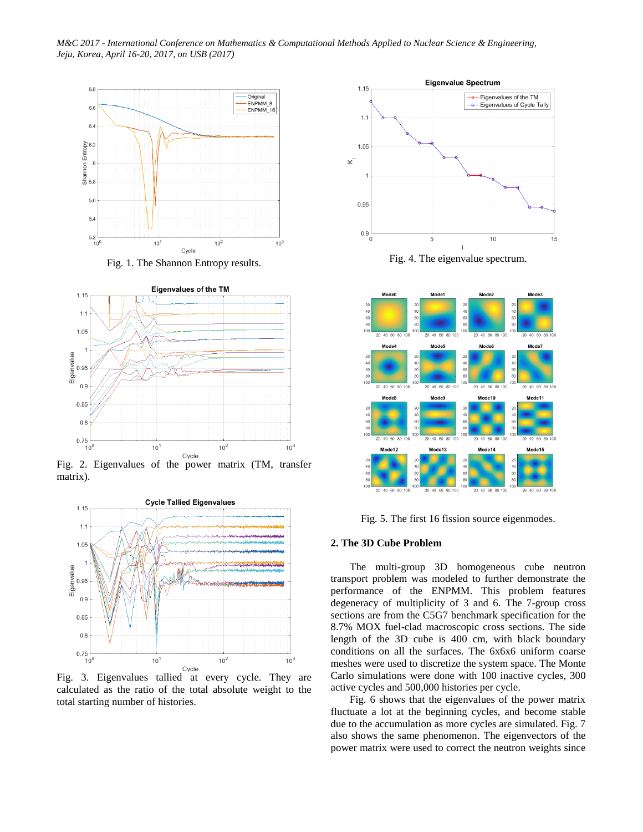*M&C 2017 - International Conference on Mathematics & Computational Methods Applied to Nuclear Science & Engineering, Jeju, Korea, April 16-20, 2017, on USB (2017)*







Fig. 2. Eigenvalues of the power matrix (TM, transfer matrix).



Fig. 3. Eigenvalues tallied at every cycle. They are calculated as the ratio of the total absolute weight to the total starting number of histories.



Fig. 4. The eigenvalue spectrum.



Fig. 5. The first 16 fission source eigenmodes.

## **2. The 3D Cube Problem**

The multi-group 3D homogeneous cube neutron transport problem was modeled to further demonstrate the performance of the ENPMM. This problem features degeneracy of multiplicity of 3 and 6. The 7-group cross sections are from the C5G7 benchmark specification for the 8.7% MOX fuel-clad macroscopic cross sections. The side length of the 3D cube is 400 cm, with black boundary conditions on all the surfaces. The 6x6x6 uniform coarse meshes were used to discretize the system space. The Monte Carlo simulations were done with 100 inactive cycles, 300 active cycles and 500,000 histories per cycle.

Fig. 6 shows that the eigenvalues of the power matrix fluctuate a lot at the beginning cycles, and become stable due to the accumulation as more cycles are simulated. Fig. 7 also shows the same phenomenon. The eigenvectors of the power matrix were used to correct the neutron weights since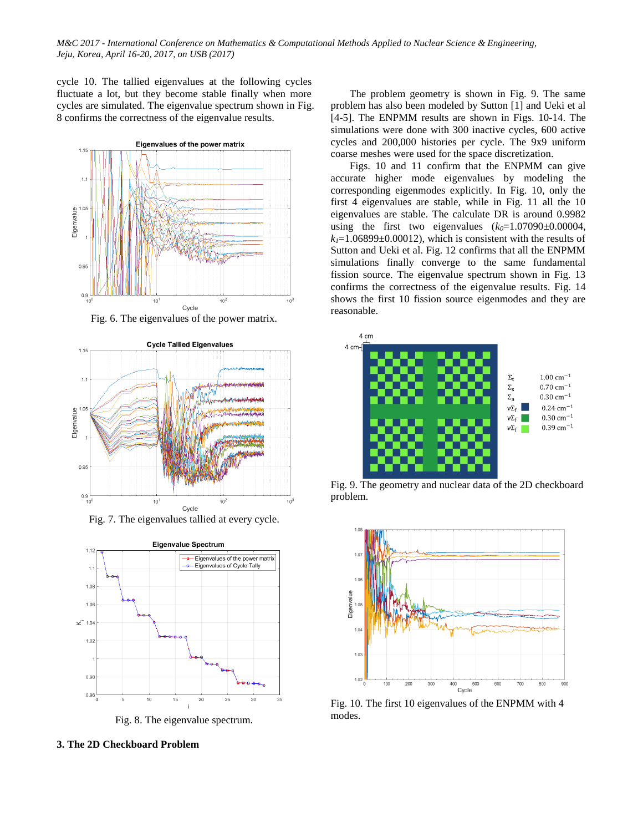cycle 10. The tallied eigenvalues at the following cycles fluctuate a lot, but they become stable finally when more cycles are simulated. The eigenvalue spectrum shown in Fig. 8 confirms the correctness of the eigenvalue results.



Fig. 6. The eigenvalues of the power matrix.



Fig. 7. The eigenvalues tallied at every cycle.



Fig. 8. The eigenvalue spectrum.

**3. The 2D Checkboard Problem**

The problem geometry is shown in Fig. 9. The same problem has also been modeled by Sutton [1] and Ueki et al [4-5]. The ENPMM results are shown in Figs. 10-14. The simulations were done with 300 inactive cycles, 600 active cycles and 200,000 histories per cycle. The 9x9 uniform coarse meshes were used for the space discretization.

Figs. 10 and 11 confirm that the ENPMM can give accurate higher mode eigenvalues by modeling the corresponding eigenmodes explicitly. In Fig. 10, only the first 4 eigenvalues are stable, while in Fig. 11 all the 10 eigenvalues are stable. The calculate DR is around 0.9982 using the first two eigenvalues  $(k_0=1.07090\pm0.00004,$  $k<sub>1</sub>=1.06899±0.00012$ , which is consistent with the results of Sutton and Ueki et al. Fig. 12 confirms that all the ENPMM simulations finally converge to the same fundamental fission source. The eigenvalue spectrum shown in Fig. 13 confirms the correctness of the eigenvalue results. Fig. 14 shows the first 10 fission source eigenmodes and they are reasonable.



Fig. 9. The geometry and nuclear data of the 2D checkboard problem.



Fig. 10. The first 10 eigenvalues of the ENPMM with 4 modes.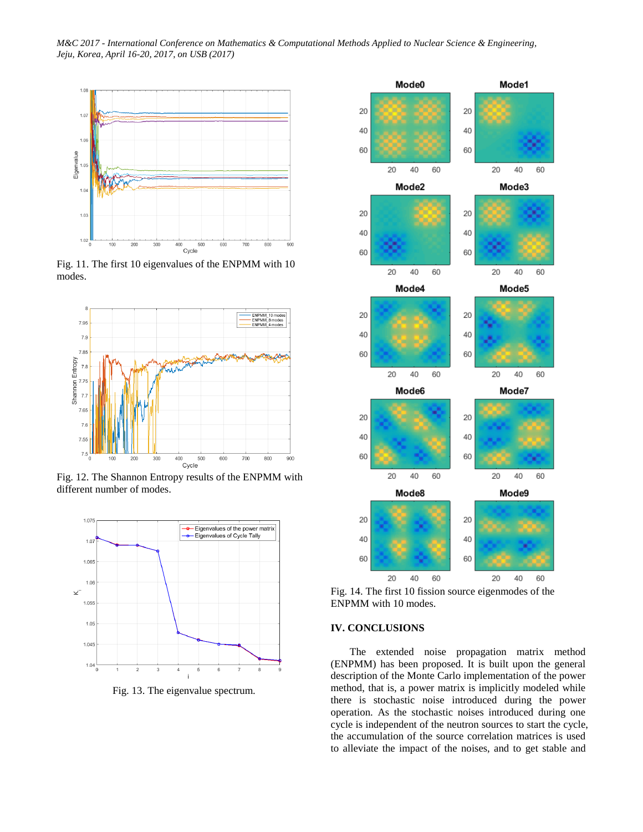*M&C 2017 - International Conference on Mathematics & Computational Methods Applied to Nuclear Science & Engineering, Jeju, Korea, April 16-20, 2017, on USB (2017)*



Fig. 11. The first 10 eigenvalues of the ENPMM with 10 modes.



Fig. 12. The Shannon Entropy results of the ENPMM with different number of modes.



Fig. 13. The eigenvalue spectrum.



Fig. 14. The first 10 fission source eigenmodes of the ENPMM with 10 modes.

# **IV. CONCLUSIONS**

The extended noise propagation matrix method (ENPMM) has been proposed. It is built upon the general description of the Monte Carlo implementation of the power method, that is, a power matrix is implicitly modeled while there is stochastic noise introduced during the power operation. As the stochastic noises introduced during one cycle is independent of the neutron sources to start the cycle, the accumulation of the source correlation matrices is used to alleviate the impact of the noises, and to get stable and